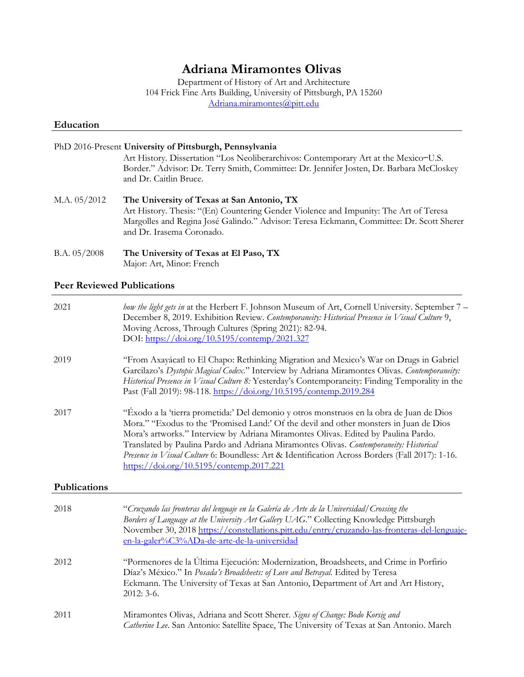# **Adriana Miramontes Olivas**

Department of History of Art and Architecture 104 Frick Fine Arts Building, University of Pittsburgh, PA 15260 [Adriana.miramontes@pitt.edu](mailto:Adriana.miramontes@pitt.edu)

### **Education**

|                | PhD 2016-Present University of Pittsburgh, Pennsylvania<br>Art History. Dissertation "Los Neoliberarchivos: Contemporary Art at the Mexico-U.S.<br>Border." Advisor: Dr. Terry Smith, Committee: Dr. Jennifer Josten, Dr. Barbara McCloskey<br>and Dr. Caitlin Bruce. |
|----------------|-----------------------------------------------------------------------------------------------------------------------------------------------------------------------------------------------------------------------------------------------------------------------|
| M.A. 05/2012   | The University of Texas at San Antonio, TX<br>Art History. Thesis: "(En) Countering Gender Violence and Impunity: The Art of Teresa<br>Margolles and Regina José Galindo." Advisor: Teresa Eckmann, Committee: Dr. Scott Sherer<br>and Dr. Irasema Coronado.          |
| B.A. $05/2008$ | The University of Texas at El Paso, TX<br>Major: Art, Minor: French                                                                                                                                                                                                   |

#### **Peer Reviewed Publications**

| 2021         | how the light gets in at the Herbert F. Johnson Museum of Art, Cornell University. September 7 -<br>December 8, 2019. Exhibition Review. Contemporaneity: Historical Presence in Visual Culture 9,<br>Moving Across, Through Cultures (Spring 2021): 82-94.<br>DOI: https://doi.org/10.5195/contemp/2021.327                                                                                                                                                                                                                         |
|--------------|--------------------------------------------------------------------------------------------------------------------------------------------------------------------------------------------------------------------------------------------------------------------------------------------------------------------------------------------------------------------------------------------------------------------------------------------------------------------------------------------------------------------------------------|
| 2019         | "From Axayácatl to El Chapo: Rethinking Migration and Mexico's War on Drugs in Gabriel<br>Garcilazo's Dystopic Magical Codex." Interview by Adriana Miramontes Olivas. Contemporaneity:<br>Historical Presence in Visual Culture 8: Yesterday's Contemporaneity: Finding Temporality in the<br>Past (Fall 2019): 98-118. https://doi.org/10.5195/contemp.2019.284                                                                                                                                                                    |
| 2017         | "Éxodo a la 'tierra prometida:' Del demonio y otros monstruos en la obra de Juan de Dios<br>Mora." "Exodus to the 'Promised Land:' Of the devil and other monsters in Juan de Dios<br>Mora's artworks." Interview by Adriana Miramontes Olivas. Edited by Paulina Pardo.<br>Translated by Paulina Pardo and Adriana Miramontes Olivas. Contemporaneity: Historical<br>Presence in Visual Culture 6: Boundless: Art & Identification Across Borders (Fall 2017): 1-16.<br>$\frac{\text{https://doi.org/10.5195/contemp.2017.221}}{2}$ |
| Publications |                                                                                                                                                                                                                                                                                                                                                                                                                                                                                                                                      |
| 2018         | "Cruzando las fronteras del lenguaje en la Galería de Arte de la Universidad/Crossing the<br>Borders of Language at the University Art Gallery UAG." Collecting Knowledge Pittsburgh<br>November 30, 2018 https://constellations.pitt.edu/entry/cruzando-las-fronteras-del-lenguaje-<br>en-la-galer%C3%ADa-de-arte-de-la-universidad                                                                                                                                                                                                 |
| 2012         | "Pormenores de la Última Ejecución: Modernization, Broadsheets, and Crime in Porfirio<br>Díaz's México." In Posada's Broadsheets: of Love and Betrayal. Edited by Teresa<br>Eckmann. The University of Texas at San Antonio, Department of Art and Art History,<br>2012: 3-6.                                                                                                                                                                                                                                                        |
| 2011         | Miramontes Olivas, Adriana and Scott Sherer. Signs of Change: Bodo Korsig and<br>Catherine Lee. San Antonio: Satellite Space, The University of Texas at San Antonio. March                                                                                                                                                                                                                                                                                                                                                          |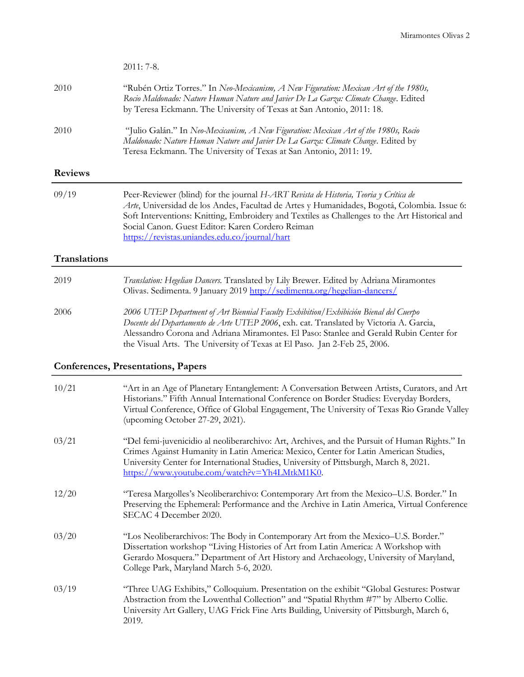|                     | 2011: 7-8.                                                                                                                                                                                                                                                                                                                                                                                |
|---------------------|-------------------------------------------------------------------------------------------------------------------------------------------------------------------------------------------------------------------------------------------------------------------------------------------------------------------------------------------------------------------------------------------|
| 2010                | "Rubén Ortiz Torres." In Neo-Mexicanism, A New Figuration: Mexican Art of the 1980s,<br>Rocio Maldonado: Nature Human Nature and Javier De La Garza: Climate Change. Edited<br>by Teresa Eckmann. The University of Texas at San Antonio, 2011: 18.                                                                                                                                       |
| 2010                | "Julio Galán." In Neo-Mexicanism, A New Figuration: Mexican Art of the 1980s, Rocio<br>Maldonado: Nature Human Nature and Javier De La Garza: Climate Change. Edited by<br>Teresa Eckmann. The University of Texas at San Antonio, 2011: 19.                                                                                                                                              |
| <b>Reviews</b>      |                                                                                                                                                                                                                                                                                                                                                                                           |
| 09/19               | Peer-Reviewer (blind) for the journal H-ART Revista de Historia, Teoria y Crítica de<br>Arte, Universidad de los Andes, Facultad de Artes y Humanidades, Bogotá, Colombia. Issue 6:<br>Soft Interventions: Knitting, Embroidery and Textiles as Challenges to the Art Historical and<br>Social Canon. Guest Editor: Karen Cordero Reiman<br>https://revistas.uniandes.edu.co/journal/hart |
| <b>Translations</b> |                                                                                                                                                                                                                                                                                                                                                                                           |
| 2019                | Translation: Hegelian Dancers. Translated by Lily Brewer. Edited by Adriana Miramontes<br>Olivas. Sedimenta. 9 January 2019 http://sedimenta.org/hegelian-dancers/                                                                                                                                                                                                                        |
| 2006                | 2006 UTEP Department of Art Biennial Faculty Exhibition/Exhibición Bienal del Cuerpo<br>Docente del Departamento de Arte UTEP 2006, exh. cat. Translated by Victoria A. Garcia,<br>Alessandro Corona and Adriana Miramontes. El Paso: Stanlee and Gerald Rubin Center for<br>the Visual Arts. The University of Texas at El Paso. Jan 2-Feb 25, 2006.                                     |
|                     | <b>Conferences, Presentations, Papers</b>                                                                                                                                                                                                                                                                                                                                                 |
| 10/21               | "Art in an Age of Planetary Entanglement: A Conversation Between Artists, Curators, and Art<br>Historians." Fifth Annual International Conference on Border Studies: Everyday Borders,<br>Virtual Conference, Office of Global Engagement, The University of Texas Rio Grande Valley<br>(upcoming October 27-29, 2021).                                                                   |
| 03/21               | "Del femi-juvenicidio al neoliberarchivo: Art, Archives, and the Pursuit of Human Rights." In<br>Crimes Against Humanity in Latin America: Mexico, Center for Latin American Studies,<br>University Center for International Studies, University of Pittsburgh, March 8, 2021.<br>https://www.youtube.com/watch?v=Yh4LMtkM1K0.                                                            |
| 12/20               | "Teresa Margolles's Neoliberarchivo: Contemporary Art from the Mexico-U.S. Border." In<br>Preserving the Ephemeral: Performance and the Archive in Latin America, Virtual Conference<br>SECAC 4 December 2020.                                                                                                                                                                            |
| 03/20               | "Los Neoliberarchivos: The Body in Contemporary Art from the Mexico-U.S. Border."<br>Dissertation workshop "Living Histories of Art from Latin America: A Workshop with<br>Gerardo Mosquera." Department of Art History and Archaeology, University of Maryland,<br>College Park, Maryland March 5-6, 2020.                                                                               |
| 03/19               | "Three UAG Exhibits," Colloquium. Presentation on the exhibit "Global Gestures: Postwar<br>Abstraction from the Lowenthal Collection" and "Spatial Rhythm #7" by Alberto Collie.<br>University Art Gallery, UAG Frick Fine Arts Building, University of Pittsburgh, March 6,<br>2019.                                                                                                     |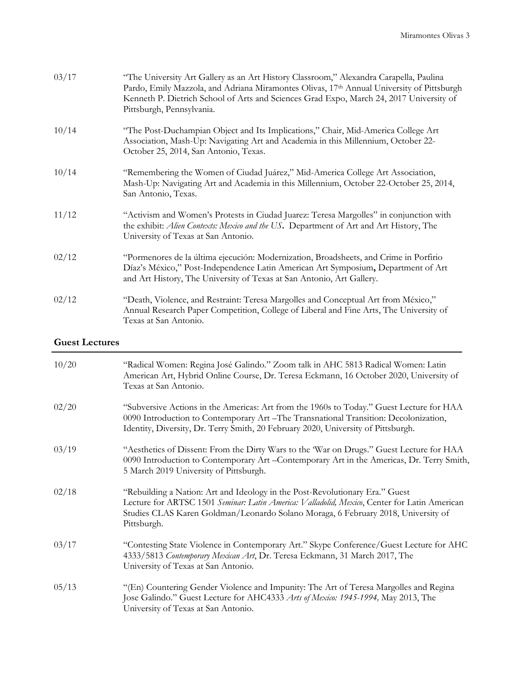| 03/17 | "The University Art Gallery as an Art History Classroom," Alexandra Carapella, Paulina<br>Pardo, Emily Mazzola, and Adriana Miramontes Olivas, 17th Annual University of Pittsburgh<br>Kenneth P. Dietrich School of Arts and Sciences Grad Expo, March 24, 2017 University of<br>Pittsburgh, Pennsylvania. |
|-------|-------------------------------------------------------------------------------------------------------------------------------------------------------------------------------------------------------------------------------------------------------------------------------------------------------------|
| 10/14 | "The Post-Duchampian Object and Its Implications," Chair, Mid-America College Art<br>Association, Mash-Up: Navigating Art and Academia in this Millennium, October 22-<br>October 25, 2014, San Antonio, Texas.                                                                                             |
| 10/14 | "Remembering the Women of Ciudad Juárez," Mid-America College Art Association,<br>Mash-Up: Navigating Art and Academia in this Millennium, October 22-October 25, 2014,<br>San Antonio, Texas.                                                                                                              |
| 11/12 | "Activism and Women's Protests in Ciudad Juarez: Teresa Margolles" in conjunction with<br>the exhibit: Alien Contexts: Mexico and the US. Department of Art and Art History, The<br>University of Texas at San Antonio.                                                                                     |
| 02/12 | "Pormenores de la última ejecución: Modernization, Broadsheets, and Crime in Porfirio<br>Díaz's México," Post-Independence Latin American Art Symposium, Department of Art<br>and Art History, The University of Texas at San Antonio, Art Gallery.                                                         |
| 02/12 | "Death, Violence, and Restraint: Teresa Margolles and Conceptual Art from México,"<br>Annual Research Paper Competition, College of Liberal and Fine Arts, The University of<br>Texas at San Antonio.                                                                                                       |

#### **Guest Lectures**

| 10/20 | "Radical Women: Regina José Galindo." Zoom talk in AHC 5813 Radical Women: Latin<br>American Art, Hybrid Online Course, Dr. Teresa Eckmann, 16 October 2020, University of<br>Texas at San Antonio.                                                                              |
|-------|----------------------------------------------------------------------------------------------------------------------------------------------------------------------------------------------------------------------------------------------------------------------------------|
| 02/20 | "Subversive Actions in the Americas: Art from the 1960s to Today." Guest Lecture for HAA<br>0090 Introduction to Contemporary Art - The Transnational Transition: Decolonization,<br>Identity, Diversity, Dr. Terry Smith, 20 February 2020, University of Pittsburgh.           |
| 03/19 | "Aesthetics of Dissent: From the Dirty Wars to the 'War on Drugs." Guest Lecture for HAA<br>0090 Introduction to Contemporary Art - Contemporary Art in the Americas, Dr. Terry Smith,<br>5 March 2019 University of Pittsburgh.                                                 |
| 02/18 | "Rebuilding a Nation: Art and Ideology in the Post-Revolutionary Era." Guest<br>Lecture for ARTSC 1501 Seminar: Latin America: Valladolid, Mexico, Center for Latin American<br>Studies CLAS Karen Goldman/Leonardo Solano Moraga, 6 February 2018, University of<br>Pittsburgh. |
| 03/17 | "Contesting State Violence in Contemporary Art." Skype Conference/Guest Lecture for AHC<br>4333/5813 Contemporary Mexican Art, Dr. Teresa Eckmann, 31 March 2017, The<br>University of Texas at San Antonio.                                                                     |
| 05/13 | "(En) Countering Gender Violence and Impunity: The Art of Teresa Margolles and Regina<br>Jose Galindo." Guest Lecture for AHC4333 Arts of Mexico: 1945-1994, May 2013, The<br>University of Texas at San Antonio.                                                                |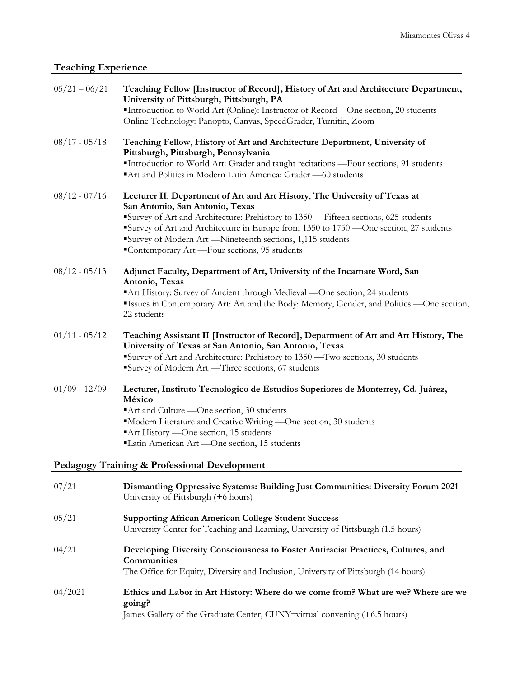# **Teaching Experience**

| $05/21 - 06/21$ | Teaching Fellow [Instructor of Record], History of Art and Architecture Department,<br>University of Pittsburgh, Pittsburgh, PA<br>"Introduction to World Art (Online): Instructor of Record - One section, 20 students<br>Online Technology: Panopto, Canvas, SpeedGrader, Turnitin, Zoom                                                                                                                  |
|-----------------|-------------------------------------------------------------------------------------------------------------------------------------------------------------------------------------------------------------------------------------------------------------------------------------------------------------------------------------------------------------------------------------------------------------|
| $08/17 - 05/18$ | Teaching Fellow, History of Art and Architecture Department, University of<br>Pittsburgh, Pittsburgh, Pennsylvania<br>"Introduction to World Art: Grader and taught recitations -Four sections, 91 students<br>Art and Politics in Modern Latin America: Grader -60 students                                                                                                                                |
| $08/12 - 07/16$ | Lecturer II, Department of Art and Art History, The University of Texas at<br>San Antonio, San Antonio, Texas<br>Survey of Art and Architecture: Prehistory to 1350 - Fifteen sections, 625 students<br>Survey of Art and Architecture in Europe from 1350 to 1750 —One section, 27 students<br>Survey of Modern Art -Nineteenth sections, 1,115 students<br>"Contemporary Art - Four sections, 95 students |
| $08/12 - 05/13$ | Adjunct Faculty, Department of Art, University of the Incarnate Word, San<br>Antonio, Texas<br>Art History: Survey of Ancient through Medieval -One section, 24 students<br>"Issues in Contemporary Art: Art and the Body: Memory, Gender, and Politics —One section,<br>22 students                                                                                                                        |
| $01/11 - 05/12$ | Teaching Assistant II [Instructor of Record], Department of Art and Art History, The<br>University of Texas at San Antonio, San Antonio, Texas<br>Survey of Art and Architecture: Prehistory to 1350 - Two sections, 30 students<br>Survey of Modern Art -Three sections, 67 students                                                                                                                       |
| $01/09 - 12/09$ | Lecturer, Instituto Tecnológico de Estudios Superiores de Monterrey, Cd. Juárez,<br>México<br>Art and Culture -One section, 30 students<br>"Modern Literature and Creative Writing -One section, 30 students<br>Art History -One section, 15 students<br>"Latin American Art - One section, 15 students                                                                                                     |
|                 | Pedagogy Training & Professional Development                                                                                                                                                                                                                                                                                                                                                                |
| 07/21           | Dismantling Oppressive Systems: Building Just Communities: Diversity Forum 2021<br>University of Pittsburgh (+6 hours)                                                                                                                                                                                                                                                                                      |
| 05/21           | <b>Supporting African American College Student Success</b><br>University Center for Teaching and Learning, University of Pittsburgh (1.5 hours)                                                                                                                                                                                                                                                             |
| 04/21           | Developing Diversity Consciousness to Foster Antiracist Practices, Cultures, and<br>Communities<br>The Office for Equity, Diversity and Inclusion, University of Pittsburgh (14 hours)                                                                                                                                                                                                                      |
| 04/2021         | Ethics and Labor in Art History: Where do we come from? What are we? Where are we<br>going?<br>James Gallery of the Graduate Center, CUNY-virtual convening (+6.5 hours)                                                                                                                                                                                                                                    |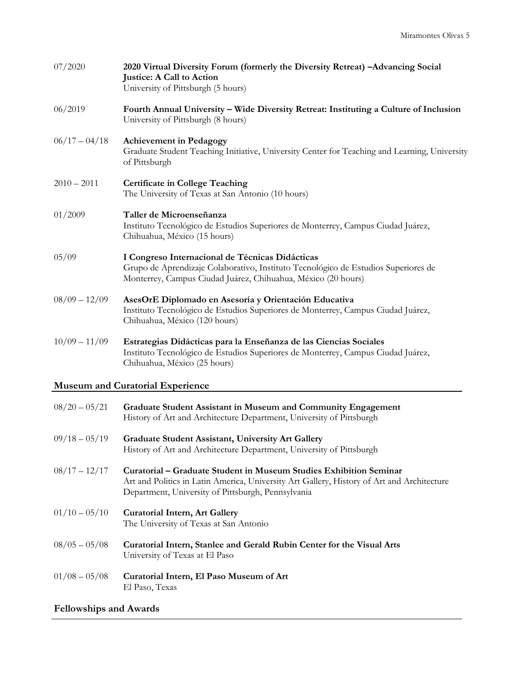| 07/2020         | 2020 Virtual Diversity Forum (formerly the Diversity Retreat) - Advancing Social<br><b>Justice: A Call to Action</b><br>University of Pittsburgh (5 hours)                                             |
|-----------------|--------------------------------------------------------------------------------------------------------------------------------------------------------------------------------------------------------|
| 06/2019         | Fourth Annual University - Wide Diversity Retreat: Instituting a Culture of Inclusion<br>University of Pittsburgh (8 hours)                                                                            |
| $06/17 - 04/18$ | <b>Achievement in Pedagogy</b><br>Graduate Student Teaching Initiative, University Center for Teaching and Learning, University<br>of Pittsburgh                                                       |
| $2010 - 2011$   | <b>Certificate in College Teaching</b><br>The University of Texas at San Antonio (10 hours)                                                                                                            |
| 01/2009         | Taller de Microenseñanza<br>Instituto Tecnológico de Estudios Superiores de Monterrey, Campus Ciudad Juárez,<br>Chihuahua, México (15 hours)                                                           |
| 05/09           | I Congreso Internacional de Técnicas Didácticas<br>Grupo de Aprendizaje Colaborativo, Instituto Tecnológico de Estudios Superiores de<br>Monterrey, Campus Ciudad Juárez, Chihuahua, México (20 hours) |
| $08/09 - 12/09$ | AsesOrE Diplomado en Asesoría y Orientación Educativa<br>Instituto Tecnológico de Estudios Superiores de Monterrey, Campus Ciudad Juárez,<br>Chihuahua, México (120 hours)                             |
| $10/09 - 11/09$ | Estrategias Didácticas para la Enseñanza de las Ciencias Sociales<br>Instituto Tecnológico de Estudios Superiores de Monterrey, Campus Ciudad Juárez,<br>Chihuahua, México (25 hours)                  |

### **Museum and Curatorial Experience**

| $08/20 - 05/21$ | Graduate Student Assistant in Museum and Community Engagement<br>History of Art and Architecture Department, University of Pittsburgh                                                                                  |
|-----------------|------------------------------------------------------------------------------------------------------------------------------------------------------------------------------------------------------------------------|
| $09/18 - 05/19$ | <b>Graduate Student Assistant, University Art Gallery</b><br>History of Art and Architecture Department, University of Pittsburgh                                                                                      |
| $08/17 - 12/17$ | Curatorial – Graduate Student in Museum Studies Exhibition Seminar<br>Art and Politics in Latin America, University Art Gallery, History of Art and Architecture<br>Department, University of Pittsburgh, Pennsylvania |
| $01/10 - 05/10$ | <b>Curatorial Intern, Art Gallery</b><br>The University of Texas at San Antonio                                                                                                                                        |
| $08/05 - 05/08$ | Curatorial Intern, Stanlee and Gerald Rubin Center for the Visual Arts<br>University of Texas at El Paso                                                                                                               |
| $01/08 - 05/08$ | Curatorial Intern, El Paso Museum of Art<br>El Paso, Texas                                                                                                                                                             |

# **Fellowships and Awards**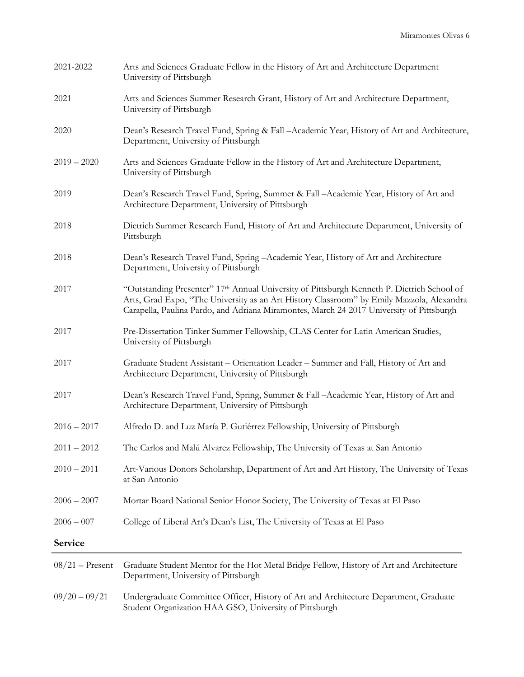| 2021-2022         | Arts and Sciences Graduate Fellow in the History of Art and Architecture Department<br>University of Pittsburgh                                                                                                                                                                     |
|-------------------|-------------------------------------------------------------------------------------------------------------------------------------------------------------------------------------------------------------------------------------------------------------------------------------|
| 2021              | Arts and Sciences Summer Research Grant, History of Art and Architecture Department,<br>University of Pittsburgh                                                                                                                                                                    |
| 2020              | Dean's Research Travel Fund, Spring & Fall -Academic Year, History of Art and Architecture,<br>Department, University of Pittsburgh                                                                                                                                                 |
| $2019 - 2020$     | Arts and Sciences Graduate Fellow in the History of Art and Architecture Department,<br>University of Pittsburgh                                                                                                                                                                    |
| 2019              | Dean's Research Travel Fund, Spring, Summer & Fall -Academic Year, History of Art and<br>Architecture Department, University of Pittsburgh                                                                                                                                          |
| 2018              | Dietrich Summer Research Fund, History of Art and Architecture Department, University of<br>Pittsburgh                                                                                                                                                                              |
| 2018              | Dean's Research Travel Fund, Spring - Academic Year, History of Art and Architecture<br>Department, University of Pittsburgh                                                                                                                                                        |
| 2017              | "Outstanding Presenter" 17th Annual University of Pittsburgh Kenneth P. Dietrich School of<br>Arts, Grad Expo, "The University as an Art History Classroom" by Emily Mazzola, Alexandra<br>Carapella, Paulina Pardo, and Adriana Miramontes, March 24 2017 University of Pittsburgh |
| 2017              | Pre-Dissertation Tinker Summer Fellowship, CLAS Center for Latin American Studies,<br>University of Pittsburgh                                                                                                                                                                      |
| 2017              | Graduate Student Assistant - Orientation Leader - Summer and Fall, History of Art and<br>Architecture Department, University of Pittsburgh                                                                                                                                          |
| 2017              | Dean's Research Travel Fund, Spring, Summer & Fall -Academic Year, History of Art and<br>Architecture Department, University of Pittsburgh                                                                                                                                          |
| $2016 - 2017$     | Alfredo D. and Luz María P. Gutiérrez Fellowship, University of Pittsburgh                                                                                                                                                                                                          |
| $2011 - 2012$     | The Carlos and Malú Alvarez Fellowship, The University of Texas at San Antonio                                                                                                                                                                                                      |
| $2010 - 2011$     | Art-Various Donors Scholarship, Department of Art and Art History, The University of Texas<br>at San Antonio                                                                                                                                                                        |
| $2006 - 2007$     | Mortar Board National Senior Honor Society, The University of Texas at El Paso                                                                                                                                                                                                      |
| $2006 - 007$      | College of Liberal Art's Dean's List, The University of Texas at El Paso                                                                                                                                                                                                            |
| Service           |                                                                                                                                                                                                                                                                                     |
| $08/21$ – Present | Graduate Student Mentor for the Hot Metal Bridge Fellow, History of Art and Architecture<br>Department, University of Pittsburgh                                                                                                                                                    |
| $09/20 - 09/21$   | Undergraduate Committee Officer, History of Art and Architecture Department, Graduate<br>Student Organization HAA GSO, University of Pittsburgh                                                                                                                                     |